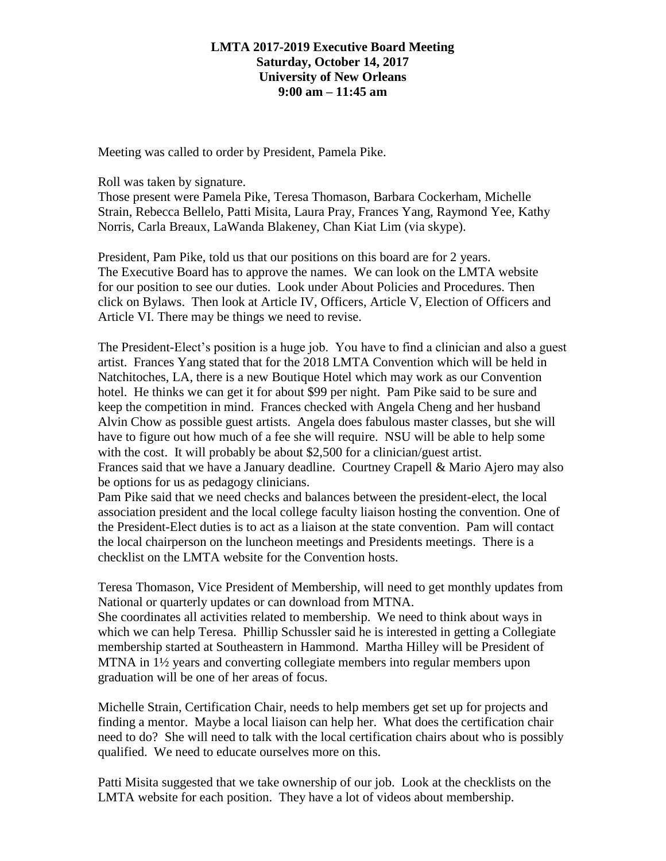## **LMTA 2017-2019 Executive Board Meeting Saturday, October 14, 2017 University of New Orleans 9:00 am – 11:45 am**

Meeting was called to order by President, Pamela Pike.

Roll was taken by signature.

Those present were Pamela Pike, Teresa Thomason, Barbara Cockerham, Michelle Strain, Rebecca Bellelo, Patti Misita, Laura Pray, Frances Yang, Raymond Yee, Kathy Norris, Carla Breaux, LaWanda Blakeney, Chan Kiat Lim (via skype).

President, Pam Pike, told us that our positions on this board are for 2 years. The Executive Board has to approve the names. We can look on the LMTA website for our position to see our duties. Look under About Policies and Procedures. Then click on Bylaws. Then look at Article IV, Officers, Article V, Election of Officers and Article VI. There may be things we need to revise.

The President-Elect's position is a huge job. You have to find a clinician and also a guest artist. Frances Yang stated that for the 2018 LMTA Convention which will be held in Natchitoches, LA, there is a new Boutique Hotel which may work as our Convention hotel. He thinks we can get it for about \$99 per night. Pam Pike said to be sure and keep the competition in mind. Frances checked with Angela Cheng and her husband Alvin Chow as possible guest artists. Angela does fabulous master classes, but she will have to figure out how much of a fee she will require. NSU will be able to help some with the cost. It will probably be about \$2,500 for a clinician/guest artist. Frances said that we have a January deadline. Courtney Crapell & Mario Ajero may also be options for us as pedagogy clinicians.

Pam Pike said that we need checks and balances between the president-elect, the local association president and the local college faculty liaison hosting the convention. One of the President-Elect duties is to act as a liaison at the state convention. Pam will contact the local chairperson on the luncheon meetings and Presidents meetings. There is a checklist on the LMTA website for the Convention hosts.

Teresa Thomason, Vice President of Membership, will need to get monthly updates from National or quarterly updates or can download from MTNA. She coordinates all activities related to membership. We need to think about ways in which we can help Teresa. Phillip Schussler said he is interested in getting a Collegiate membership started at Southeastern in Hammond. Martha Hilley will be President of MTNA in 1½ years and converting collegiate members into regular members upon graduation will be one of her areas of focus.

Michelle Strain, Certification Chair, needs to help members get set up for projects and finding a mentor. Maybe a local liaison can help her. What does the certification chair need to do? She will need to talk with the local certification chairs about who is possibly qualified. We need to educate ourselves more on this.

Patti Misita suggested that we take ownership of our job. Look at the checklists on the LMTA website for each position. They have a lot of videos about membership.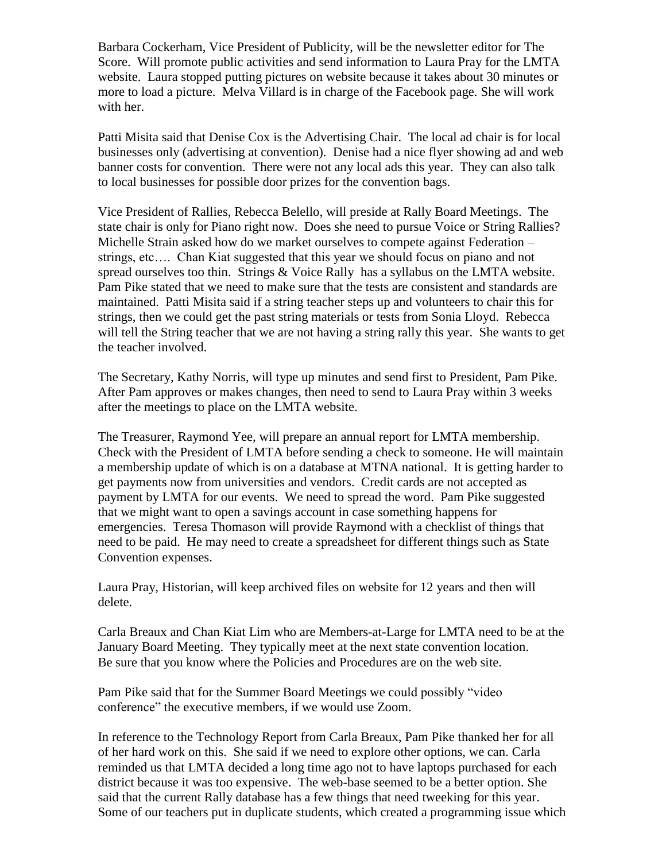Barbara Cockerham, Vice President of Publicity, will be the newsletter editor for The Score. Will promote public activities and send information to Laura Pray for the LMTA website. Laura stopped putting pictures on website because it takes about 30 minutes or more to load a picture. Melva Villard is in charge of the Facebook page. She will work with her.

Patti Misita said that Denise Cox is the Advertising Chair. The local ad chair is for local businesses only (advertising at convention). Denise had a nice flyer showing ad and web banner costs for convention. There were not any local ads this year. They can also talk to local businesses for possible door prizes for the convention bags.

Vice President of Rallies, Rebecca Belello, will preside at Rally Board Meetings. The state chair is only for Piano right now. Does she need to pursue Voice or String Rallies? Michelle Strain asked how do we market ourselves to compete against Federation – strings, etc…. Chan Kiat suggested that this year we should focus on piano and not spread ourselves too thin. Strings & Voice Rally has a syllabus on the LMTA website. Pam Pike stated that we need to make sure that the tests are consistent and standards are maintained. Patti Misita said if a string teacher steps up and volunteers to chair this for strings, then we could get the past string materials or tests from Sonia Lloyd. Rebecca will tell the String teacher that we are not having a string rally this year. She wants to get the teacher involved.

The Secretary, Kathy Norris, will type up minutes and send first to President, Pam Pike. After Pam approves or makes changes, then need to send to Laura Pray within 3 weeks after the meetings to place on the LMTA website.

The Treasurer, Raymond Yee, will prepare an annual report for LMTA membership. Check with the President of LMTA before sending a check to someone. He will maintain a membership update of which is on a database at MTNA national. It is getting harder to get payments now from universities and vendors. Credit cards are not accepted as payment by LMTA for our events. We need to spread the word. Pam Pike suggested that we might want to open a savings account in case something happens for emergencies. Teresa Thomason will provide Raymond with a checklist of things that need to be paid. He may need to create a spreadsheet for different things such as State Convention expenses.

Laura Pray, Historian, will keep archived files on website for 12 years and then will delete.

Carla Breaux and Chan Kiat Lim who are Members-at-Large for LMTA need to be at the January Board Meeting. They typically meet at the next state convention location. Be sure that you know where the Policies and Procedures are on the web site.

Pam Pike said that for the Summer Board Meetings we could possibly "video conference" the executive members, if we would use Zoom.

In reference to the Technology Report from Carla Breaux, Pam Pike thanked her for all of her hard work on this. She said if we need to explore other options, we can. Carla reminded us that LMTA decided a long time ago not to have laptops purchased for each district because it was too expensive. The web-base seemed to be a better option. She said that the current Rally database has a few things that need tweeking for this year. Some of our teachers put in duplicate students, which created a programming issue which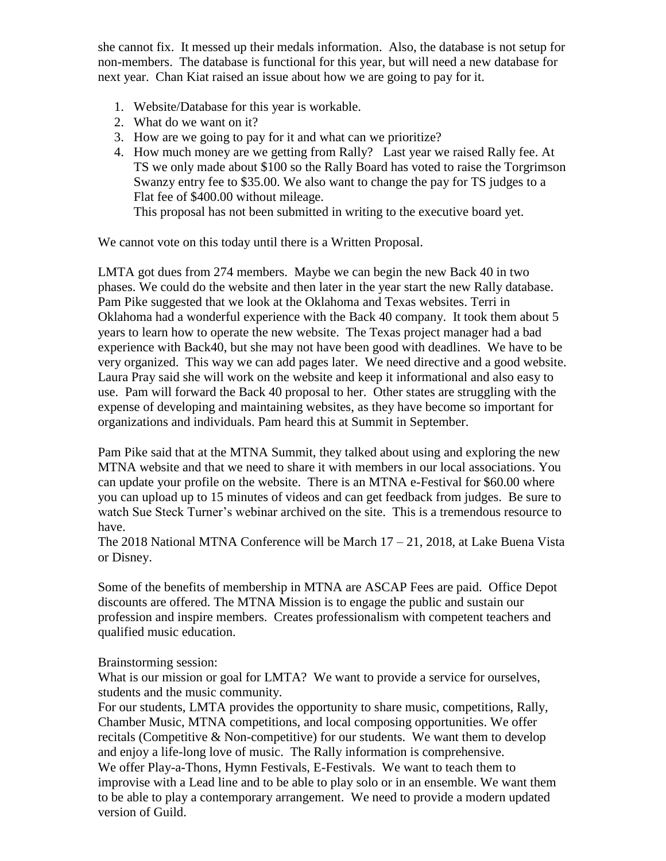she cannot fix. It messed up their medals information. Also, the database is not setup for non-members. The database is functional for this year, but will need a new database for next year. Chan Kiat raised an issue about how we are going to pay for it.

- 1. Website/Database for this year is workable.
- 2. What do we want on it?
- 3. How are we going to pay for it and what can we prioritize?
- 4. How much money are we getting from Rally? Last year we raised Rally fee. At TS we only made about \$100 so the Rally Board has voted to raise the Torgrimson Swanzy entry fee to \$35.00. We also want to change the pay for TS judges to a Flat fee of \$400.00 without mileage. This proposal has not been submitted in writing to the executive board yet.

We cannot vote on this today until there is a Written Proposal.

LMTA got dues from 274 members. Maybe we can begin the new Back 40 in two phases. We could do the website and then later in the year start the new Rally database. Pam Pike suggested that we look at the Oklahoma and Texas websites. Terri in Oklahoma had a wonderful experience with the Back 40 company. It took them about 5 years to learn how to operate the new website. The Texas project manager had a bad experience with Back40, but she may not have been good with deadlines. We have to be very organized. This way we can add pages later. We need directive and a good website. Laura Pray said she will work on the website and keep it informational and also easy to use. Pam will forward the Back 40 proposal to her. Other states are struggling with the expense of developing and maintaining websites, as they have become so important for organizations and individuals. Pam heard this at Summit in September.

Pam Pike said that at the MTNA Summit, they talked about using and exploring the new MTNA website and that we need to share it with members in our local associations. You can update your profile on the website. There is an MTNA e-Festival for \$60.00 where you can upload up to 15 minutes of videos and can get feedback from judges. Be sure to watch Sue Steck Turner's webinar archived on the site. This is a tremendous resource to have.

The 2018 National MTNA Conference will be March 17 – 21, 2018, at Lake Buena Vista or Disney.

Some of the benefits of membership in MTNA are ASCAP Fees are paid. Office Depot discounts are offered. The MTNA Mission is to engage the public and sustain our profession and inspire members. Creates professionalism with competent teachers and qualified music education.

Brainstorming session:

What is our mission or goal for LMTA? We want to provide a service for ourselves, students and the music community.

For our students, LMTA provides the opportunity to share music, competitions, Rally, Chamber Music, MTNA competitions, and local composing opportunities. We offer recitals (Competitive & Non-competitive) for our students. We want them to develop and enjoy a life-long love of music. The Rally information is comprehensive. We offer Play-a-Thons, Hymn Festivals, E-Festivals. We want to teach them to improvise with a Lead line and to be able to play solo or in an ensemble. We want them to be able to play a contemporary arrangement. We need to provide a modern updated version of Guild.